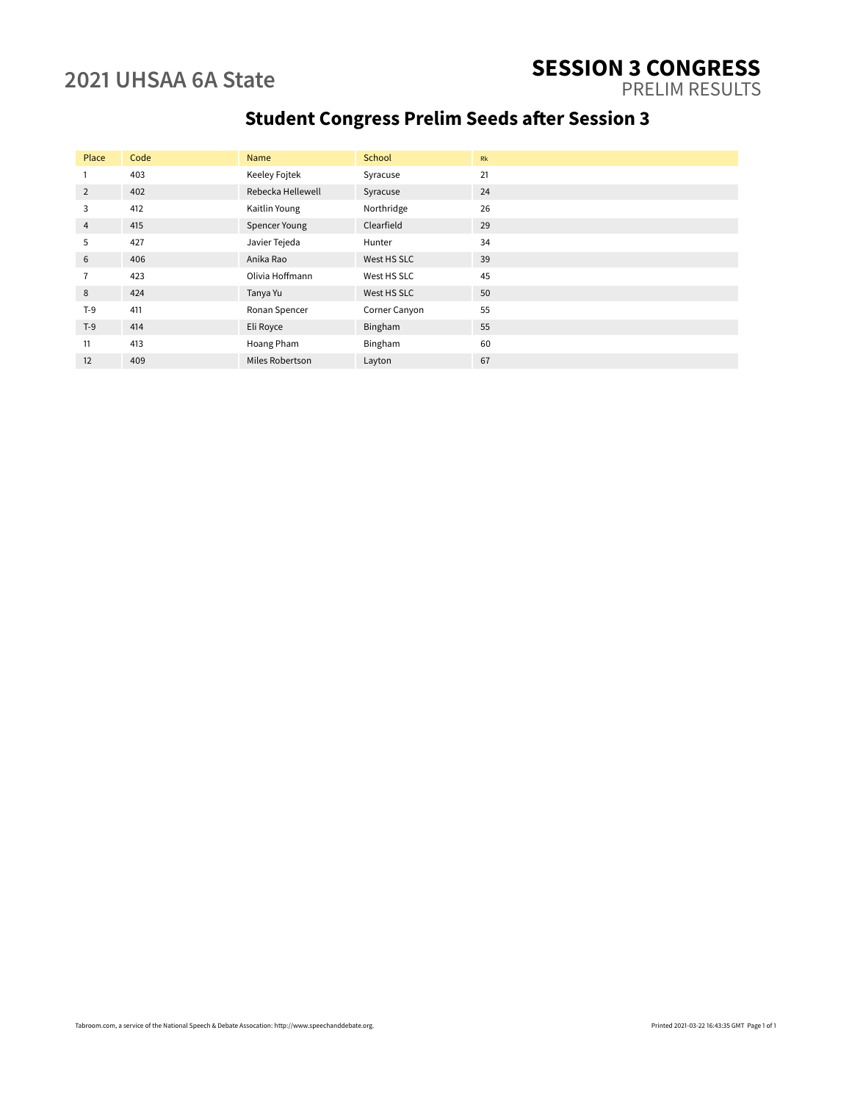# **2021 UHSAA 6A State SESSION 3 CONGRESS**

PRELIM RESULTS

## **Student Congress Prelim Seeds after Session 3**

| Place | Code | Name              | School        | Rk |
|-------|------|-------------------|---------------|----|
|       | 403  | Keeley Fojtek     | Syracuse      | 21 |
| 2     | 402  | Rebecka Hellewell | Syracuse      | 24 |
| 3     | 412  | Kaitlin Young     | Northridge    | 26 |
| 4     | 415  | Spencer Young     | Clearfield    | 29 |
| 5     | 427  | Javier Tejeda     | Hunter        | 34 |
| 6     | 406  | Anika Rao         | West HS SLC   | 39 |
|       | 423  | Olivia Hoffmann   | West HS SLC   | 45 |
| 8     | 424  | Tanya Yu          | West HS SLC   | 50 |
| $T-9$ | 411  | Ronan Spencer     | Corner Canyon | 55 |
| $T-9$ | 414  | Eli Royce         | Bingham       | 55 |
| 11    | 413  | Hoang Pham        | Bingham       | 60 |
| 12    | 409  | Miles Robertson   | Layton        | 67 |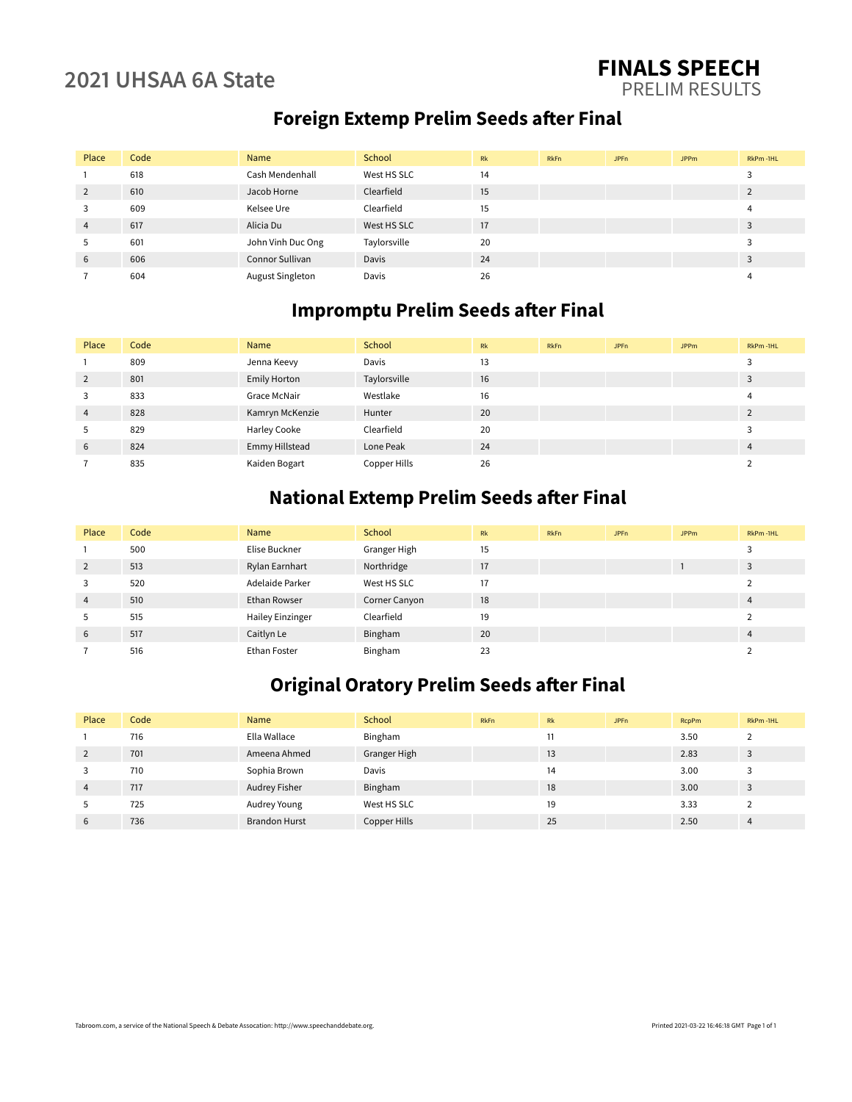#### **2021 UHSAA 6A State FINALS SPEECH** PRELIM RESULTS

### **Foreign Extemp Prelim Seeds after Final**

| Place          | Code | Name              | School       | Rk | <b>RkFn</b> | JPF <sub>n</sub> | <b>JPPm</b> | RkPm-1HL |
|----------------|------|-------------------|--------------|----|-------------|------------------|-------------|----------|
|                | 618  | Cash Mendenhall   | West HS SLC  | 14 |             |                  |             |          |
| $\overline{2}$ | 610  | Jacob Horne       | Clearfield   | 15 |             |                  |             |          |
| 3              | 609  | Kelsee Ure        | Clearfield   | 15 |             |                  |             |          |
| 4              | 617  | Alicia Du         | West HS SLC  | 17 |             |                  |             |          |
| 5              | 601  | John Vinh Duc Ong | Taylorsville | 20 |             |                  |             |          |
| 6              | 606  | Connor Sullivan   | Davis        | 24 |             |                  |             |          |
|                | 604  | August Singleton  | Davis        | 26 |             |                  |             |          |

### **Impromptu Prelim Seeds after Final**

| Place          | Code | Name            | School       | Rk | <b>RkFn</b> | <b>JPFn</b> | <b>JPPm</b> | RkPm-1HL |
|----------------|------|-----------------|--------------|----|-------------|-------------|-------------|----------|
|                | 809  | Jenna Keevy     | Davis        | 13 |             |             |             |          |
| 2              | 801  | Emily Horton    | Taylorsville | 16 |             |             |             |          |
| 3              | 833  | Grace McNair    | Westlake     | 16 |             |             |             |          |
| $\overline{4}$ | 828  | Kamryn McKenzie | Hunter       | 20 |             |             |             |          |
| 5              | 829  | Harley Cooke    | Clearfield   | 20 |             |             |             |          |
| 6              | 824  | Emmy Hillstead  | Lone Peak    | 24 |             |             |             | 4        |
|                | 835  | Kaiden Bogart   | Copper Hills | 26 |             |             |             |          |

#### **National Extemp Prelim Seeds after Final**

| Place          | Code | Name                    | School        | Rk | <b>RkFn</b> | <b>JPFn</b> | <b>JPPm</b> | RkPm-1HL |
|----------------|------|-------------------------|---------------|----|-------------|-------------|-------------|----------|
|                | 500  | Elise Buckner           | Granger High  | 15 |             |             |             |          |
| 2              | 513  | Rylan Earnhart          | Northridge    | 17 |             |             |             | 3        |
| 3              | 520  | Adelaide Parker         | West HS SLC   | 17 |             |             |             |          |
| $\overline{4}$ | 510  | <b>Ethan Rowser</b>     | Corner Canyon | 18 |             |             |             | 4        |
| 5              | 515  | <b>Hailey Einzinger</b> | Clearfield    | 19 |             |             |             |          |
| 6              | 517  | Caitlyn Le              | Bingham       | 20 |             |             |             | 4        |
|                | 516  | Ethan Foster            | Bingham       | 23 |             |             |             |          |

## **Original Oratory Prelim Seeds after Final**

| Place          | Code | Name                 | School       | <b>RkFn</b> | Rk | JPF <sub>n</sub> | <b>RcpPm</b> | RkPm-1HL |
|----------------|------|----------------------|--------------|-------------|----|------------------|--------------|----------|
|                | 716  | Ella Wallace         | Bingham      |             |    |                  | 3.50         |          |
| $\overline{2}$ | 701  | Ameena Ahmed         | Granger High |             | 13 |                  | 2.83         | 3        |
| 3              | 710  | Sophia Brown         | Davis        |             | 14 |                  | 3.00         |          |
|                | 717  | Audrey Fisher        | Bingham      |             | 18 |                  | 3.00         |          |
| 5              | 725  | Audrey Young         | West HS SLC  |             | 19 |                  | 3.33         |          |
| 6              | 736  | <b>Brandon Hurst</b> | Copper Hills |             | 25 |                  | 2.50         | 4        |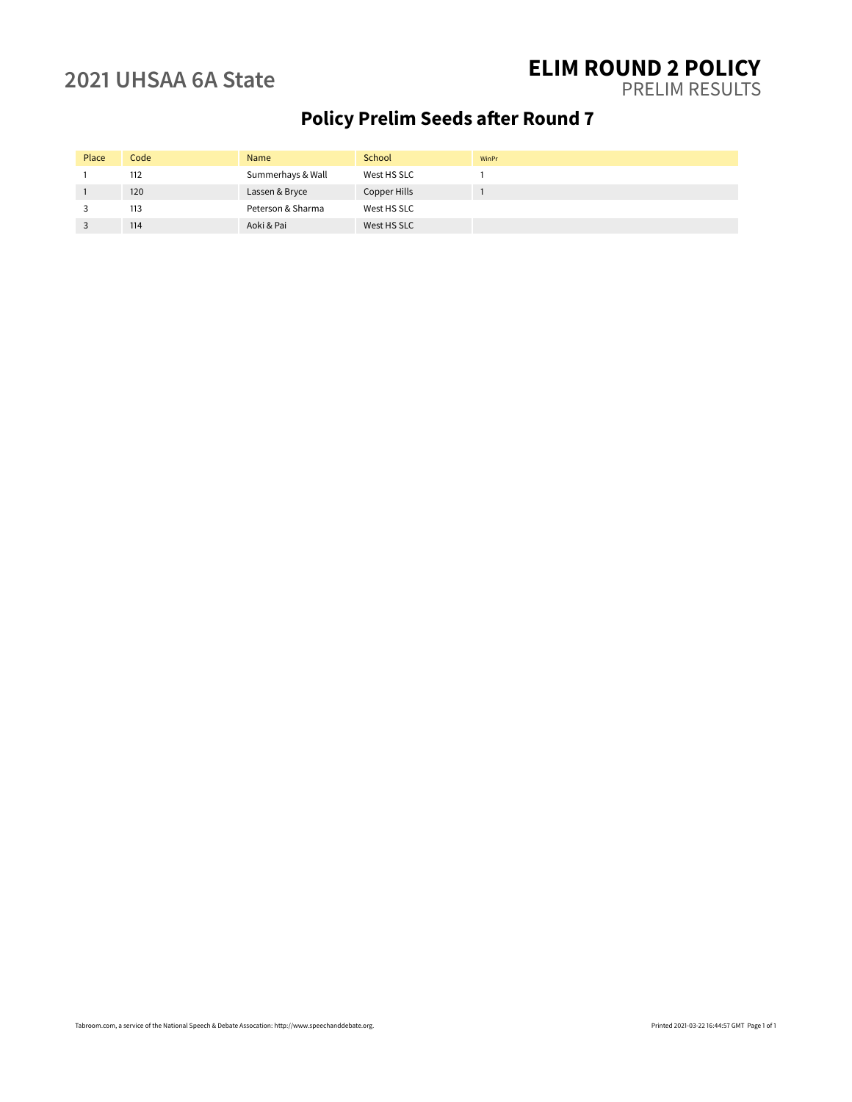#### **2021 UHSAA 6A State ELIM ROUND 2 POLICY** PRELIM RESULTS

## **Policy Prelim Seeds after Round 7**

| Place | Code | Name              | School       | WinPr |
|-------|------|-------------------|--------------|-------|
|       | 112  | Summerhays & Wall | West HS SLC  |       |
|       | 120  | Lassen & Bryce    | Copper Hills |       |
|       | 113  | Peterson & Sharma | West HS SLC  |       |
|       | 114  | Aoki & Pai        | West HS SLC  |       |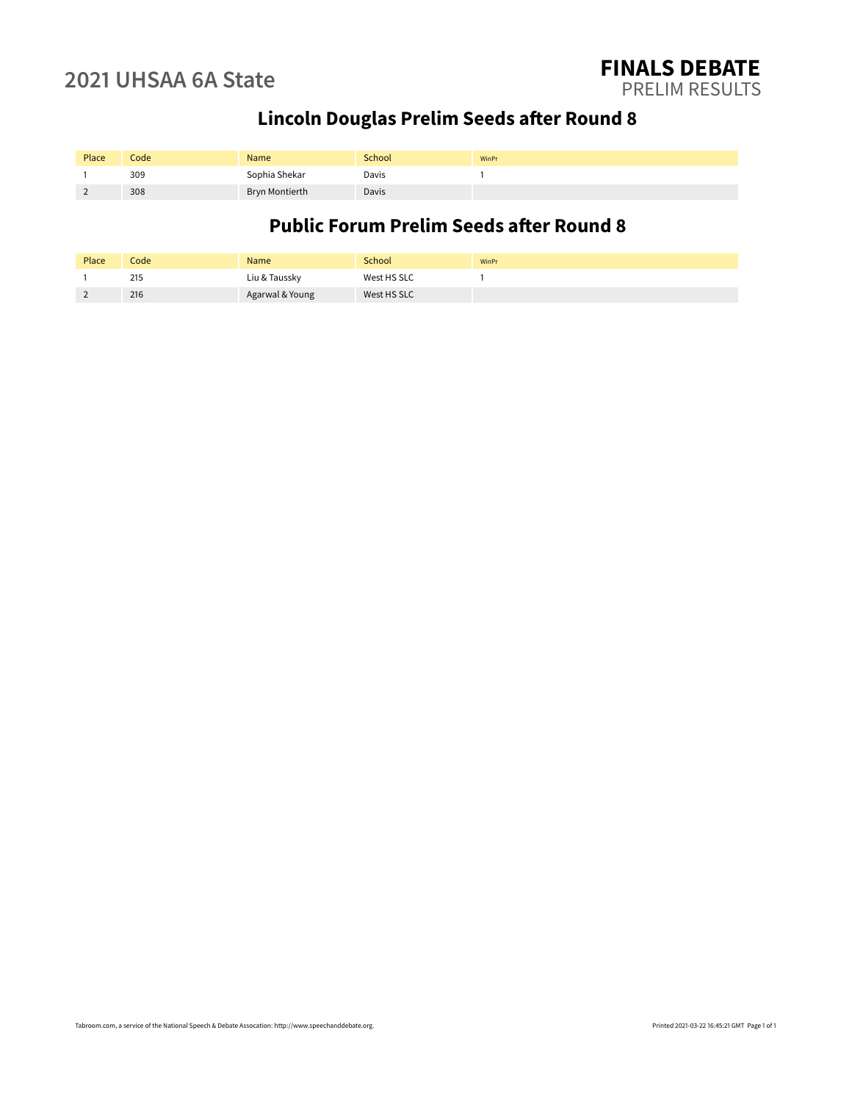## **Lincoln Douglas Prelim Seeds after Round 8**

| Place | Code | Name                  | School       | WinPr |
|-------|------|-----------------------|--------------|-------|
|       | 309  | Sophia Shekar         | Davis        |       |
|       | 308  | <b>Bryn Montierth</b> | <b>Davis</b> |       |

### **Public Forum Prelim Seeds after Round 8**

| Place    | Code | <b>Name</b>     | School      | WinPr |
|----------|------|-----------------|-------------|-------|
|          | 215  | Liu & Taussky   | West HS SLC |       |
| <u>.</u> | 216  | Agarwal & Young | West HS SLC |       |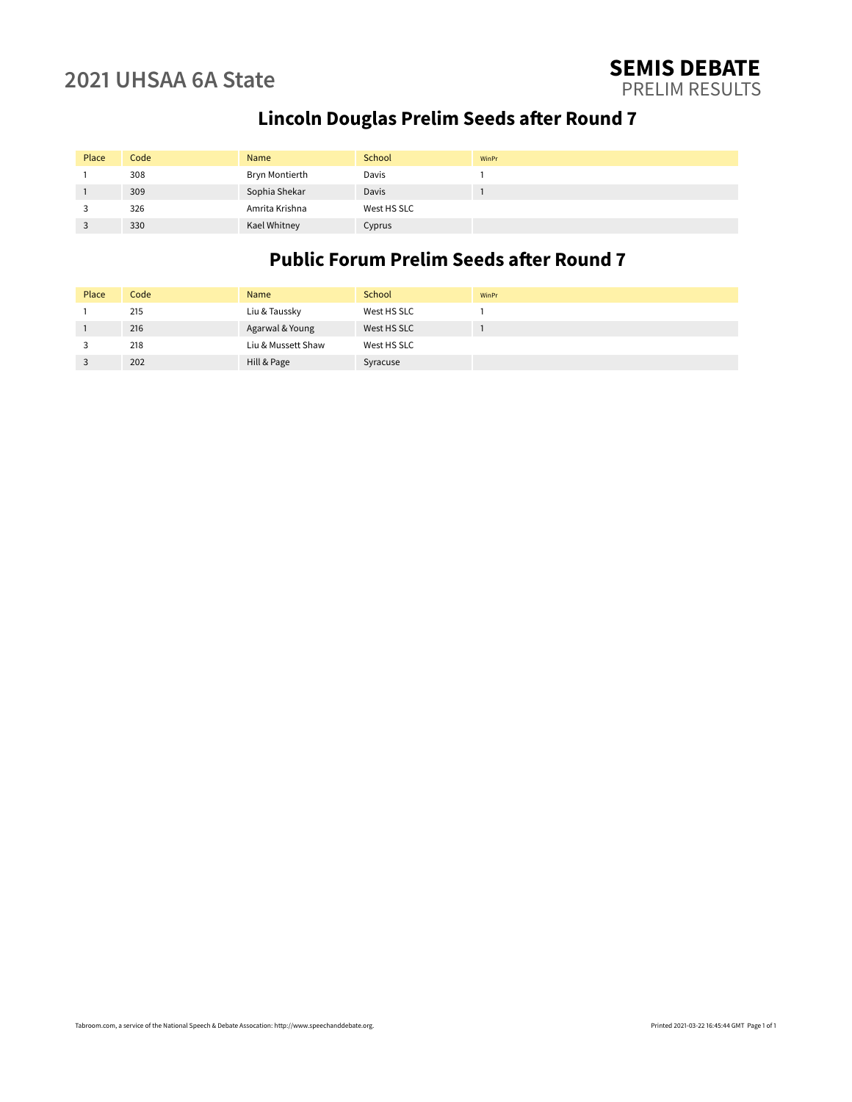## **Lincoln Douglas Prelim Seeds after Round 7**

| Place | Code | Name           | School       | WinPr |
|-------|------|----------------|--------------|-------|
|       | 308  | Bryn Montierth | Davis        |       |
|       | 309  | Sophia Shekar  | <b>Davis</b> |       |
|       | 326  | Amrita Krishna | West HS SLC  |       |
|       | 330  | Kael Whitney   | Cyprus       |       |

### **Public Forum Prelim Seeds after Round 7**

| Place | Code | <b>Name</b>        | School      | WinPr |
|-------|------|--------------------|-------------|-------|
|       | 215  | Liu & Taussky      | West HS SLC |       |
|       | 216  | Agarwal & Young    | West HS SLC |       |
|       | 218  | Liu & Mussett Shaw | West HS SLC |       |
|       | 202  | Hill & Page        | Syracuse    |       |